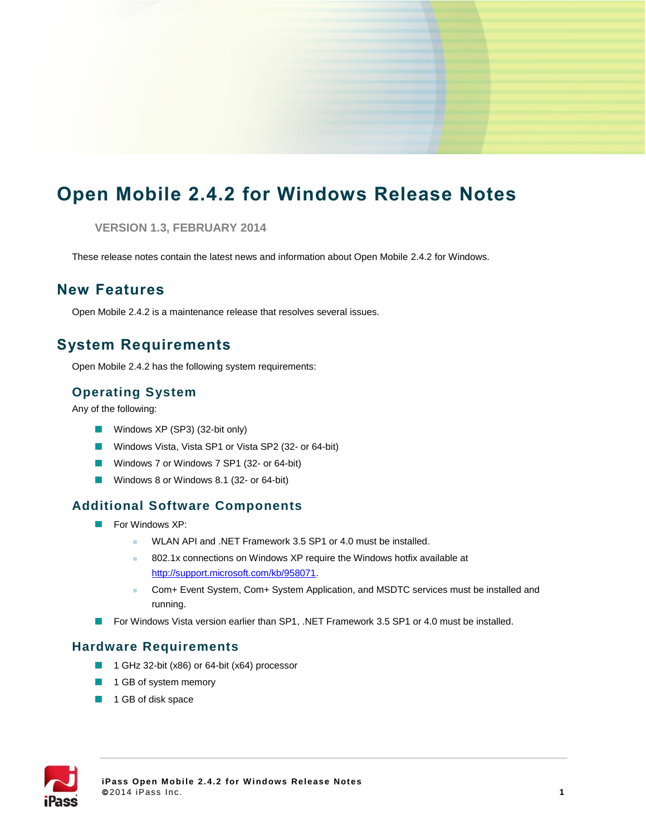# **Open Mobile 2.4.2 for Windows Release Notes**

**VERSION 1.3, FEBRUARY 2014**

These release notes contain the latest news and information about Open Mobile 2.4.2 for Windows.

#### **New Features**

Open Mobile 2.4.2 is a maintenance release that resolves several issues.

# **System Requirements**

Open Mobile 2.4.2 has the following system requirements:

#### **Operating System**

Any of the following:

- Windows XP (SP3) (32-bit only)
- Windows Vista, Vista SP1 or Vista SP2 (32- or 64-bit)
- Windows 7 or Windows 7 SP1 (32- or 64-bit)
- **Windows 8 or Windows 8.1 (32- or 64-bit)**

#### **Additional Software Components**

- **For Windows XP:** 
	- WLAN API and .NET Framework 3.5 SP1 or 4.0 must be installed.
	- 802.1x connections on Windows XP require the Windows hotfix available at [http://support.microsoft.com/kb/958071.](http://support.microsoft.com/kb/958071)
	- Com+ Event System, Com+ System Application, and MSDTC services must be installed and running.
- **For Windows Vista version earlier than SP1, .NET Framework 3.5 SP1 or 4.0 must be installed.**

#### **Hardware Requirements**

- $\mathcal{L}_{\mathcal{A}}$ 1 GHz 32-bit (x86) or 64-bit (x64) processor
- **1** 1 GB of system memory
- 1 GB of disk space

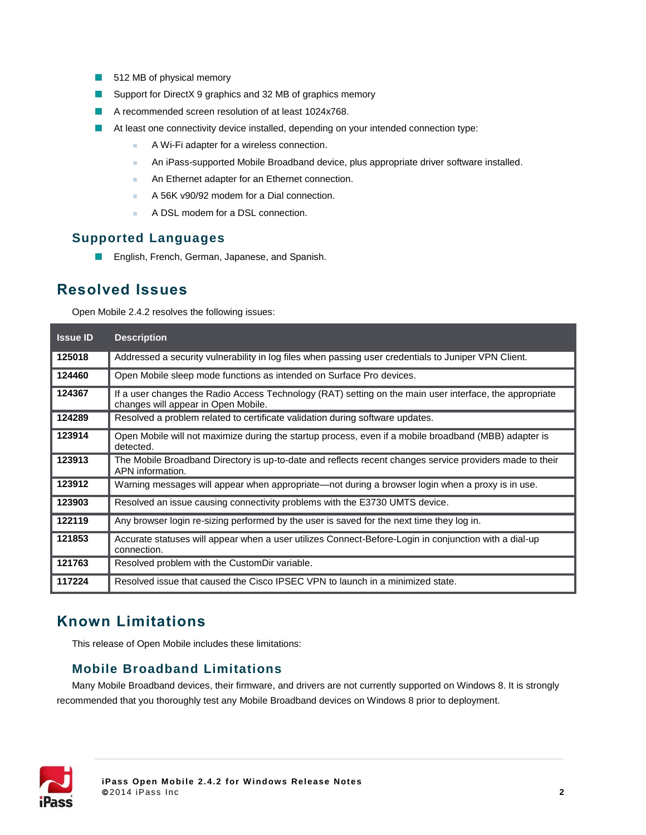- 512 MB of physical memory  $\mathcal{L}_{\mathcal{A}}$
- Support for DirectX 9 graphics and 32 MB of graphics memory  $\mathcal{L}_{\mathcal{A}}$
- A recommended screen resolution of at least 1024x768.  $\blacksquare$
- At least one connectivity device installed, depending on your intended connection type:  $\blacksquare$ 
	- **A Wi-Fi adapter for a wireless connection.**
	- **An iPass-supported Mobile Broadband device, plus appropriate driver software installed.**
	- **An Ethernet adapter for an Ethernet connection.**
	- A 56K v90/92 modem for a Dial connection.
	- A DSL modem for a DSL connection.

#### **Supported Languages**

**English, French, German, Japanese, and Spanish.** 

#### **Resolved Issues**

Open Mobile 2.4.2 resolves the following issues:

| <b>Issue ID</b> | <b>Description</b>                                                                                                                             |
|-----------------|------------------------------------------------------------------------------------------------------------------------------------------------|
| 125018          | Addressed a security vulnerability in log files when passing user credentials to Juniper VPN Client.                                           |
| 124460          | Open Mobile sleep mode functions as intended on Surface Pro devices.                                                                           |
| 124367          | If a user changes the Radio Access Technology (RAT) setting on the main user interface, the appropriate<br>changes will appear in Open Mobile. |
| 124289          | Resolved a problem related to certificate validation during software updates.                                                                  |
| 123914          | Open Mobile will not maximize during the startup process, even if a mobile broadband (MBB) adapter is<br>detected.                             |
| 123913          | The Mobile Broadband Directory is up-to-date and reflects recent changes service providers made to their<br>APN information.                   |
| 123912          | Warning messages will appear when appropriate—not during a browser login when a proxy is in use.                                               |
| 123903          | Resolved an issue causing connectivity problems with the E3730 UMTS device.                                                                    |
| 122119          | Any browser login re-sizing performed by the user is saved for the next time they log in.                                                      |
| 121853          | Accurate statuses will appear when a user utilizes Connect-Before-Login in conjunction with a dial-up<br>connection.                           |
| 121763          | Resolved problem with the Custom Dir variable.                                                                                                 |
| 117224          | Resolved issue that caused the Cisco IPSEC VPN to launch in a minimized state.                                                                 |

# **Known Limitations**

This release of Open Mobile includes these limitations:

#### **Mobile Broadband Limitations**

Many Mobile Broadband devices, their firmware, and drivers are not currently supported on Windows 8. It is strongly recommended that you thoroughly test any Mobile Broadband devices on Windows 8 prior to deployment.

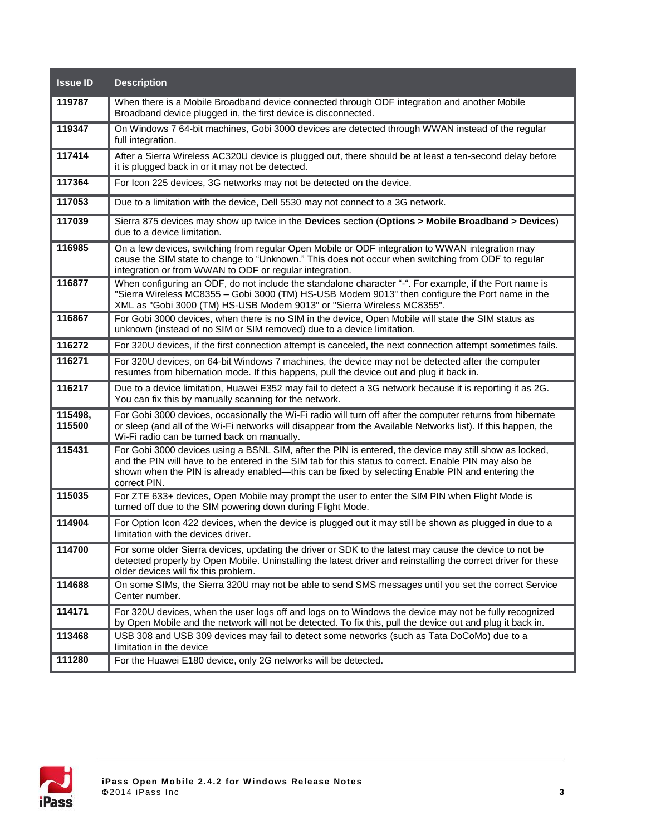| <b>Issue ID</b>   | <b>Description</b>                                                                                                                                                                                                                                                                                                                  |
|-------------------|-------------------------------------------------------------------------------------------------------------------------------------------------------------------------------------------------------------------------------------------------------------------------------------------------------------------------------------|
| 119787            | When there is a Mobile Broadband device connected through ODF integration and another Mobile<br>Broadband device plugged in, the first device is disconnected.                                                                                                                                                                      |
| 119347            | On Windows 7 64-bit machines, Gobi 3000 devices are detected through WWAN instead of the regular<br>full integration.                                                                                                                                                                                                               |
| 117414            | After a Sierra Wireless AC320U device is plugged out, there should be at least a ten-second delay before<br>it is plugged back in or it may not be detected.                                                                                                                                                                        |
| 117364            | For Icon 225 devices, 3G networks may not be detected on the device.                                                                                                                                                                                                                                                                |
| 117053            | Due to a limitation with the device, Dell 5530 may not connect to a 3G network.                                                                                                                                                                                                                                                     |
| 117039            | Sierra 875 devices may show up twice in the Devices section (Options > Mobile Broadband > Devices)<br>due to a device limitation.                                                                                                                                                                                                   |
| 116985            | On a few devices, switching from regular Open Mobile or ODF integration to WWAN integration may<br>cause the SIM state to change to "Unknown." This does not occur when switching from ODF to regular<br>integration or from WWAN to ODF or regular integration.                                                                    |
| 116877            | When configuring an ODF, do not include the standalone character "-". For example, if the Port name is<br>"Sierra Wireless MC8355 - Gobi 3000 (TM) HS-USB Modem 9013" then configure the Port name in the<br>XML as "Gobi 3000 (TM) HS-USB Modem 9013" or "Sierra Wireless MC8355".                                                 |
| 116867            | For Gobi 3000 devices, when there is no SIM in the device, Open Mobile will state the SIM status as<br>unknown (instead of no SIM or SIM removed) due to a device limitation.                                                                                                                                                       |
| 116272            | For 320U devices, if the first connection attempt is canceled, the next connection attempt sometimes fails.                                                                                                                                                                                                                         |
| 116271            | For 320U devices, on 64-bit Windows 7 machines, the device may not be detected after the computer<br>resumes from hibernation mode. If this happens, pull the device out and plug it back in.                                                                                                                                       |
| 116217            | Due to a device limitation, Huawei E352 may fail to detect a 3G network because it is reporting it as 2G.<br>You can fix this by manually scanning for the network.                                                                                                                                                                 |
| 115498,<br>115500 | For Gobi 3000 devices, occasionally the Wi-Fi radio will turn off after the computer returns from hibernate<br>or sleep (and all of the Wi-Fi networks will disappear from the Available Networks list). If this happen, the<br>Wi-Fi radio can be turned back on manually.                                                         |
| 115431            | For Gobi 3000 devices using a BSNL SIM, after the PIN is entered, the device may still show as locked,<br>and the PIN will have to be entered in the SIM tab for this status to correct. Enable PIN may also be<br>shown when the PIN is already enabled—this can be fixed by selecting Enable PIN and entering the<br>correct PIN. |
| 115035            | For ZTE 633+ devices, Open Mobile may prompt the user to enter the SIM PIN when Flight Mode is<br>turned off due to the SIM powering down during Flight Mode.                                                                                                                                                                       |
| 114904            | For Option Icon 422 devices, when the device is plugged out it may still be shown as plugged in due to a<br>limitation with the devices driver.                                                                                                                                                                                     |
| 114700            | For some older Sierra devices, updating the driver or SDK to the latest may cause the device to not be<br>detected properly by Open Mobile. Uninstalling the latest driver and reinstalling the correct driver for these<br>older devices will fix this problem.                                                                    |
| 114688            | On some SIMs, the Sierra 320U may not be able to send SMS messages until you set the correct Service<br>Center number.                                                                                                                                                                                                              |
| 114171            | For 320U devices, when the user logs off and logs on to Windows the device may not be fully recognized<br>by Open Mobile and the network will not be detected. To fix this, pull the device out and plug it back in.                                                                                                                |
| 113468            | USB 308 and USB 309 devices may fail to detect some networks (such as Tata DoCoMo) due to a<br>limitation in the device                                                                                                                                                                                                             |
| 111280            | For the Huawei E180 device, only 2G networks will be detected.                                                                                                                                                                                                                                                                      |

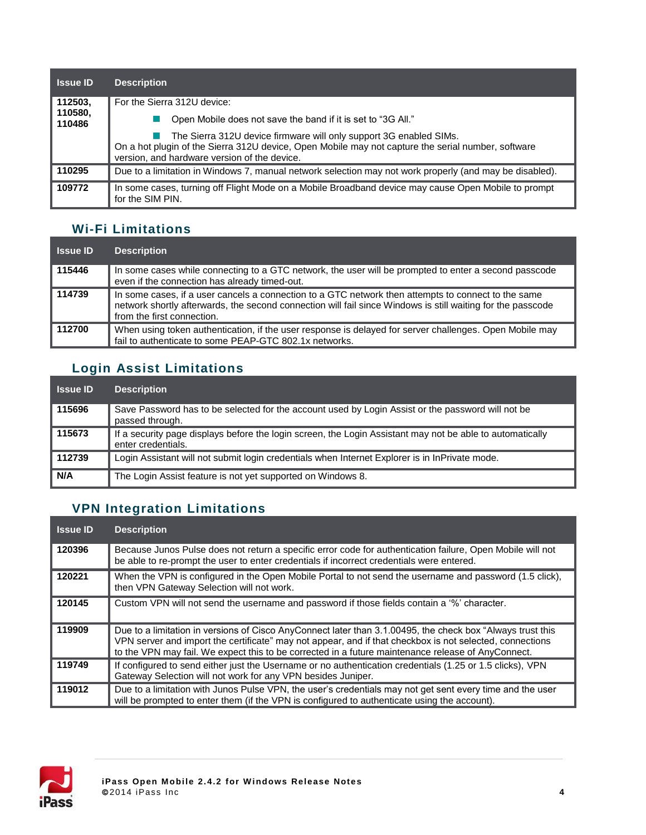| <b>Issue ID</b>   | <b>Description</b>                                                                                                                                                                                                       |
|-------------------|--------------------------------------------------------------------------------------------------------------------------------------------------------------------------------------------------------------------------|
| 112503,           | For the Sierra 312U device:                                                                                                                                                                                              |
| 110580,<br>110486 | Open Mobile does not save the band if it is set to "3G All."                                                                                                                                                             |
|                   | The Sierra 312U device firmware will only support 3G enabled SIMs.<br>On a hot plugin of the Sierra 312U device, Open Mobile may not capture the serial number, software<br>version, and hardware version of the device. |
| 110295            | Due to a limitation in Windows 7, manual network selection may not work properly (and may be disabled).                                                                                                                  |
| 109772            | In some cases, turning off Flight Mode on a Mobile Broadband device may cause Open Mobile to prompt<br>for the SIM PIN.                                                                                                  |

### **Wi-Fi Limitations**

| <b>Issue ID</b> | <b>Description</b>                                                                                                                                                                                                                               |
|-----------------|--------------------------------------------------------------------------------------------------------------------------------------------------------------------------------------------------------------------------------------------------|
| 115446          | In some cases while connecting to a GTC network, the user will be prompted to enter a second passcode<br>even if the connection has already timed-out.                                                                                           |
| 114739          | In some cases, if a user cancels a connection to a GTC network then attempts to connect to the same<br>network shortly afterwards, the second connection will fail since Windows is still waiting for the passcode<br>from the first connection. |
| 112700          | When using token authentication, if the user response is delayed for server challenges. Open Mobile may<br>fail to authenticate to some PEAP-GTC 802.1x networks.                                                                                |

# **Login Assist Limitations**

| <b>Issue ID</b> | <b>Description</b>                                                                                                              |
|-----------------|---------------------------------------------------------------------------------------------------------------------------------|
| 115696          | Save Password has to be selected for the account used by Login Assist or the password will not be<br>passed through.            |
| 115673          | If a security page displays before the login screen, the Login Assistant may not be able to automatically<br>enter credentials. |
| 112739          | Login Assistant will not submit login credentials when Internet Explorer is in InPrivate mode.                                  |
| N/A             | The Login Assist feature is not yet supported on Windows 8.                                                                     |

# **VPN Integration Limitations**

| <b>Issue ID</b> | <b>Description</b>                                                                                                                                                                                                                                                                                                           |
|-----------------|------------------------------------------------------------------------------------------------------------------------------------------------------------------------------------------------------------------------------------------------------------------------------------------------------------------------------|
| 120396          | Because Junos Pulse does not return a specific error code for authentication failure, Open Mobile will not<br>be able to re-prompt the user to enter credentials if incorrect credentials were entered.                                                                                                                      |
| 120221          | When the VPN is configured in the Open Mobile Portal to not send the username and password (1.5 click),<br>then VPN Gateway Selection will not work.                                                                                                                                                                         |
| 120145          | Custom VPN will not send the username and password if those fields contain a '%' character.                                                                                                                                                                                                                                  |
| 119909          | Due to a limitation in versions of Cisco AnyConnect later than 3.1.00495, the check box "Always trust this<br>VPN server and import the certificate" may not appear, and if that checkbox is not selected, connections<br>to the VPN may fail. We expect this to be corrected in a future maintenance release of AnyConnect. |
| 119749          | If configured to send either just the Username or no authentication credentials (1.25 or 1.5 clicks), VPN<br>Gateway Selection will not work for any VPN besides Juniper.                                                                                                                                                    |
| 119012          | Due to a limitation with Junos Pulse VPN, the user's credentials may not get sent every time and the user<br>will be prompted to enter them (if the VPN is configured to authenticate using the account).                                                                                                                    |

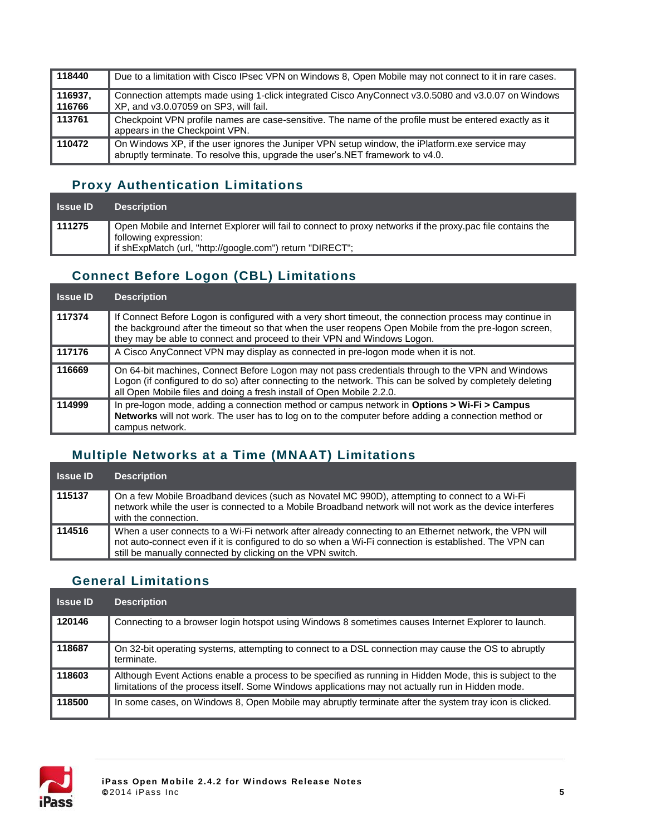| 118440            | Due to a limitation with Cisco IPsec VPN on Windows 8, Open Mobile may not connect to it in rare cases.                                                                          |
|-------------------|----------------------------------------------------------------------------------------------------------------------------------------------------------------------------------|
| 116937.<br>116766 | Connection attempts made using 1-click integrated Cisco AnyConnect v3.0.5080 and v3.0.07 on Windows<br>XP, and v3.0.07059 on SP3, will fail.                                     |
| 113761            | Checkpoint VPN profile names are case-sensitive. The name of the profile must be entered exactly as it<br>appears in the Checkpoint VPN.                                         |
| 110472            | On Windows XP, if the user ignores the Juniper VPN setup window, the iPlatform.exe service may<br>abruptly terminate. To resolve this, upgrade the user's NET framework to v4.0. |

#### **Proxy Authentication Limitations**

| <b>Issue ID</b> | <b>Description</b>                                                                                          |
|-----------------|-------------------------------------------------------------------------------------------------------------|
| 111275          | Open Mobile and Internet Explorer will fail to connect to proxy networks if the proxy.pac file contains the |
|                 | <sup>1</sup> following expression:                                                                          |
|                 | " if shExpMatch (url, "http://google.com") return "DIRECT";                                                 |

## **Connect Before Logon (CBL) Limitations**

| <b>Issue ID</b> | <b>Description</b>                                                                                                                                                                                                                                                                          |
|-----------------|---------------------------------------------------------------------------------------------------------------------------------------------------------------------------------------------------------------------------------------------------------------------------------------------|
| 117374          | If Connect Before Logon is configured with a very short timeout, the connection process may continue in<br>the background after the timeout so that when the user reopens Open Mobile from the pre-logon screen,<br>they may be able to connect and proceed to their VPN and Windows Logon. |
| 117176          | A Cisco AnyConnect VPN may display as connected in pre-logon mode when it is not.                                                                                                                                                                                                           |
| 116669          | On 64-bit machines, Connect Before Logon may not pass credentials through to the VPN and Windows<br>Logon (if configured to do so) after connecting to the network. This can be solved by completely deleting<br>all Open Mobile files and doing a fresh install of Open Mobile 2.2.0.      |
| 114999          | In pre-logon mode, adding a connection method or campus network in Options > Wi-Fi > Campus<br><b>Networks</b> will not work. The user has to log on to the computer before adding a connection method or<br>campus network.                                                                |

## **Multiple Networks at a Time (MNAAT) Limitations**

| <b>Issue ID</b> | <b>Description</b>                                                                                                                                                                                                                                                            |
|-----------------|-------------------------------------------------------------------------------------------------------------------------------------------------------------------------------------------------------------------------------------------------------------------------------|
| 115137          | On a few Mobile Broadband devices (such as Novatel MC 990D), attempting to connect to a Wi-Fi<br>network while the user is connected to a Mobile Broadband network will not work as the device interferes<br>with the connection.                                             |
| 114516          | When a user connects to a Wi-Fi network after already connecting to an Ethernet network, the VPN will<br>not auto-connect even if it is configured to do so when a Wi-Fi connection is established. The VPN can<br>still be manually connected by clicking on the VPN switch. |

#### **General Limitations**

| <b>Issue ID</b> | <b>Description</b>                                                                                                                                                                                             |
|-----------------|----------------------------------------------------------------------------------------------------------------------------------------------------------------------------------------------------------------|
| 120146          | Connecting to a browser login hotspot using Windows 8 sometimes causes Internet Explorer to launch.                                                                                                            |
| 118687          | On 32-bit operating systems, attempting to connect to a DSL connection may cause the OS to abruptly<br>terminate.                                                                                              |
| 118603          | Although Event Actions enable a process to be specified as running in Hidden Mode, this is subject to the<br>limitations of the process itself. Some Windows applications may not actually run in Hidden mode. |
| 118500          | In some cases, on Windows 8, Open Mobile may abruptly terminate after the system tray icon is clicked.                                                                                                         |

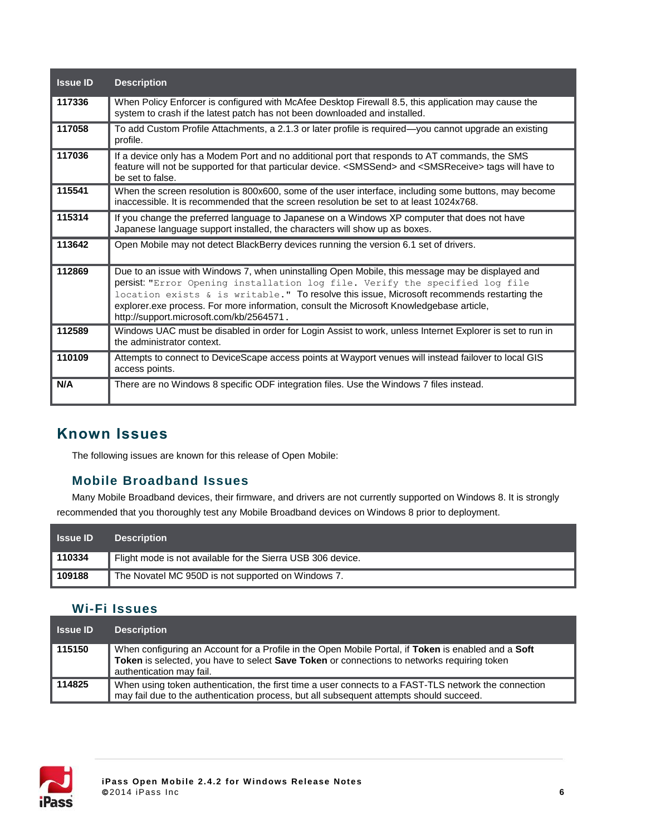| <b>Issue ID</b> | <b>Description</b>                                                                                                                                                                                                                                                                                                                                                                                                     |
|-----------------|------------------------------------------------------------------------------------------------------------------------------------------------------------------------------------------------------------------------------------------------------------------------------------------------------------------------------------------------------------------------------------------------------------------------|
| 117336          | When Policy Enforcer is configured with McAfee Desktop Firewall 8.5, this application may cause the<br>system to crash if the latest patch has not been downloaded and installed.                                                                                                                                                                                                                                      |
| 117058          | To add Custom Profile Attachments, a 2.1.3 or later profile is required—you cannot upgrade an existing<br>profile.                                                                                                                                                                                                                                                                                                     |
| 117036          | If a device only has a Modem Port and no additional port that responds to AT commands, the SMS<br>feature will not be supported for that particular device. <smssend> and <smsreceive> tags will have to<br/>be set to false.</smsreceive></smssend>                                                                                                                                                                   |
| 115541          | When the screen resolution is 800x600, some of the user interface, including some buttons, may become<br>inaccessible. It is recommended that the screen resolution be set to at least 1024x768.                                                                                                                                                                                                                       |
| 115314          | If you change the preferred language to Japanese on a Windows XP computer that does not have<br>Japanese language support installed, the characters will show up as boxes.                                                                                                                                                                                                                                             |
|                 |                                                                                                                                                                                                                                                                                                                                                                                                                        |
| 113642          | Open Mobile may not detect BlackBerry devices running the version 6.1 set of drivers.                                                                                                                                                                                                                                                                                                                                  |
| 112869          | Due to an issue with Windows 7, when uninstalling Open Mobile, this message may be displayed and<br>persist: "Error Opening installation log file. Verify the specified log file<br>location exists & is writable." To resolve this issue, Microsoft recommends restarting the<br>explorer.exe process. For more information, consult the Microsoft Knowledgebase article,<br>http://support.microsoft.com/kb/2564571. |
| 112589          | Windows UAC must be disabled in order for Login Assist to work, unless Internet Explorer is set to run in<br>the administrator context.                                                                                                                                                                                                                                                                                |
| 110109          | Attempts to connect to DeviceScape access points at Wayport venues will instead failover to local GIS<br>access points.                                                                                                                                                                                                                                                                                                |

# **Known Issues**

The following issues are known for this release of Open Mobile:

#### **Mobile Broadband Issues**

Many Mobile Broadband devices, their firmware, and drivers are not currently supported on Windows 8. It is strongly recommended that you thoroughly test any Mobile Broadband devices on Windows 8 prior to deployment.

| <b>Samue ID</b> | <b>Description</b>                                          |
|-----------------|-------------------------------------------------------------|
| ∥ 110334        | Flight mode is not available for the Sierra USB 306 device. |
| 109188          | The Novatel MC 950D is not supported on Windows 7.          |

#### **Wi-Fi Issues**

| <b>Issue ID</b> | <b>Description</b>                                                                                                                                                                                                             |
|-----------------|--------------------------------------------------------------------------------------------------------------------------------------------------------------------------------------------------------------------------------|
| ∥ 115150        | When configuring an Account for a Profile in the Open Mobile Portal, if Token is enabled and a Soft<br>Token is selected, you have to select Save Token or connections to networks requiring token<br>authentication may fail. |
| ∥ 114825        | When using token authentication, the first time a user connects to a FAST-TLS network the connection<br>may fail due to the authentication process, but all subsequent attempts should succeed.                                |

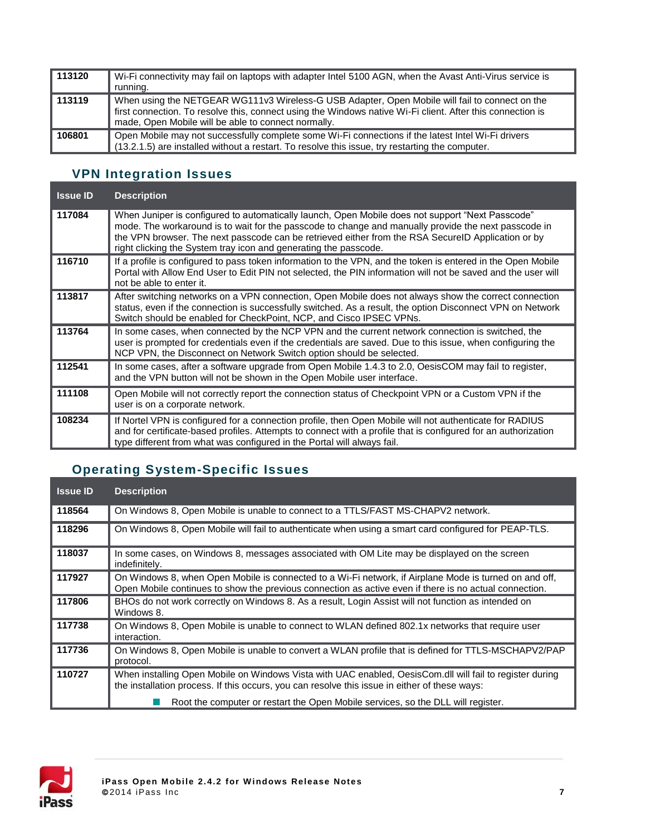| 113120 | Wi-Fi connectivity may fail on laptops with adapter Intel 5100 AGN, when the Avast Anti-Virus service is<br>running.                                                                                                                                                |
|--------|---------------------------------------------------------------------------------------------------------------------------------------------------------------------------------------------------------------------------------------------------------------------|
| 113119 | When using the NETGEAR WG111v3 Wireless-G USB Adapter, Open Mobile will fail to connect on the<br>first connection. To resolve this, connect using the Windows native Wi-Fi client. After this connection is<br>made, Open Mobile will be able to connect normally. |
| 106801 | Open Mobile may not successfully complete some Wi-Fi connections if the latest Intel Wi-Fi drivers<br>(13.2.1.5) are installed without a restart. To resolve this issue, try restarting the computer.                                                               |

# **VPN Integration Issues**

| <b>Issue ID</b> | <b>Description</b>                                                                                                                                                                                                                                                                                                                                                                 |
|-----------------|------------------------------------------------------------------------------------------------------------------------------------------------------------------------------------------------------------------------------------------------------------------------------------------------------------------------------------------------------------------------------------|
| 117084          | When Juniper is configured to automatically launch, Open Mobile does not support "Next Passcode"<br>mode. The workaround is to wait for the passcode to change and manually provide the next passcode in<br>the VPN browser. The next passcode can be retrieved either from the RSA SecureID Application or by<br>right clicking the System tray icon and generating the passcode. |
| 116710          | If a profile is configured to pass token information to the VPN, and the token is entered in the Open Mobile<br>Portal with Allow End User to Edit PIN not selected, the PIN information will not be saved and the user will<br>not be able to enter it.                                                                                                                           |
| 113817          | After switching networks on a VPN connection, Open Mobile does not always show the correct connection<br>status, even if the connection is successfully switched. As a result, the option Disconnect VPN on Network<br>Switch should be enabled for CheckPoint, NCP, and Cisco IPSEC VPNs.                                                                                         |
| 113764          | In some cases, when connected by the NCP VPN and the current network connection is switched, the<br>user is prompted for credentials even if the credentials are saved. Due to this issue, when configuring the<br>NCP VPN, the Disconnect on Network Switch option should be selected.                                                                                            |
| 112541          | In some cases, after a software upgrade from Open Mobile 1.4.3 to 2.0, OesisCOM may fail to register,<br>and the VPN button will not be shown in the Open Mobile user interface.                                                                                                                                                                                                   |
| 111108          | Open Mobile will not correctly report the connection status of Checkpoint VPN or a Custom VPN if the<br>user is on a corporate network.                                                                                                                                                                                                                                            |
| 108234          | If Nortel VPN is configured for a connection profile, then Open Mobile will not authenticate for RADIUS<br>and for certificate-based profiles. Attempts to connect with a profile that is configured for an authorization<br>type different from what was configured in the Portal will always fail.                                                                               |

# **Operating System-Specific Issues**

| <b>Issue ID</b> | <b>Description</b>                                                                                                                                                                                               |
|-----------------|------------------------------------------------------------------------------------------------------------------------------------------------------------------------------------------------------------------|
| 118564          | On Windows 8, Open Mobile is unable to connect to a TTLS/FAST MS-CHAPV2 network.                                                                                                                                 |
| 118296          | On Windows 8, Open Mobile will fail to authenticate when using a smart card configured for PEAP-TLS.                                                                                                             |
| 118037          | In some cases, on Windows 8, messages associated with OM Lite may be displayed on the screen<br>indefinitely.                                                                                                    |
| 117927          | On Windows 8, when Open Mobile is connected to a Wi-Fi network, if Airplane Mode is turned on and off,<br>Open Mobile continues to show the previous connection as active even if there is no actual connection. |
| 117806          | BHOs do not work correctly on Windows 8. As a result, Login Assist will not function as intended on<br>Windows 8.                                                                                                |
| 117738          | On Windows 8, Open Mobile is unable to connect to WLAN defined 802.1x networks that require user<br>interaction.                                                                                                 |
| 117736          | On Windows 8, Open Mobile is unable to convert a WLAN profile that is defined for TTLS-MSCHAPV2/PAP<br>protocol.                                                                                                 |
| 110727          | When installing Open Mobile on Windows Vista with UAC enabled, OesisCom.dll will fail to register during<br>the installation process. If this occurs, you can resolve this issue in either of these ways:        |
|                 | Root the computer or restart the Open Mobile services, so the DLL will register.                                                                                                                                 |

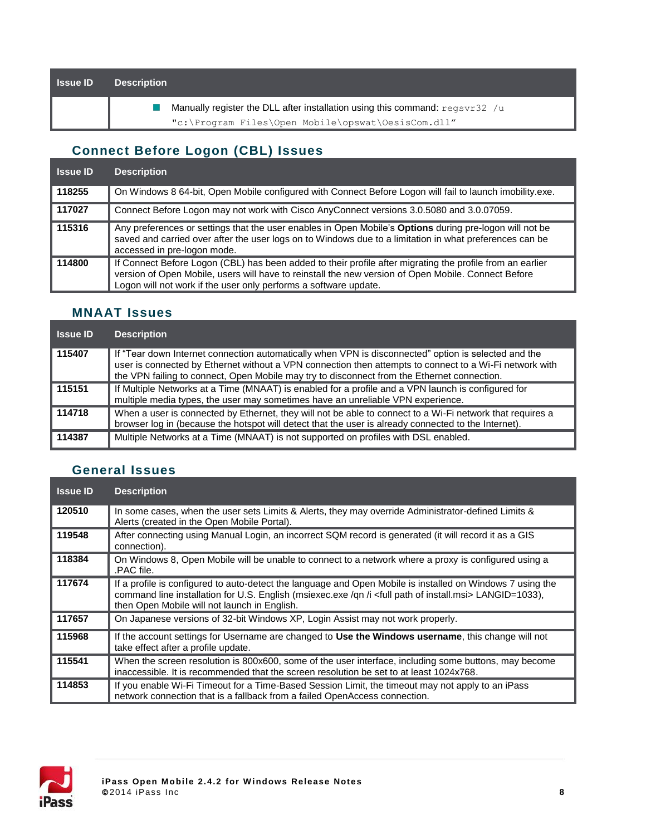| <b>Issue ID</b> | <b>Description</b>                                                                    |
|-----------------|---------------------------------------------------------------------------------------|
|                 | Manually register the DLL after installation using this command: $\text{regsvr32}$ /u |
|                 | "c:\Program Files\Open Mobile\opswat\OesisCom.dll"                                    |

## **Connect Before Logon (CBL) Issues**

| <b>Issue ID</b> | <b>Description</b>                                                                                                                                                                                                                                                                   |
|-----------------|--------------------------------------------------------------------------------------------------------------------------------------------------------------------------------------------------------------------------------------------------------------------------------------|
| 118255          | On Windows 8 64-bit, Open Mobile configured with Connect Before Logon will fail to launch imobility.exe.                                                                                                                                                                             |
| 117027          | Connect Before Logon may not work with Cisco AnyConnect versions 3.0.5080 and 3.0.07059.                                                                                                                                                                                             |
| 115316          | Any preferences or settings that the user enables in Open Mobile's Options during pre-logon will not be<br>saved and carried over after the user logs on to Windows due to a limitation in what preferences can be<br>accessed in pre-logon mode.                                    |
| 114800          | If Connect Before Logon (CBL) has been added to their profile after migrating the profile from an earlier<br>version of Open Mobile, users will have to reinstall the new version of Open Mobile. Connect Before<br>Logon will not work if the user only performs a software update. |

#### **MNAAT Issues**

| <b>Issue ID</b> | <b>Description</b>                                                                                                                                                                                                                                                                                             |
|-----------------|----------------------------------------------------------------------------------------------------------------------------------------------------------------------------------------------------------------------------------------------------------------------------------------------------------------|
| 115407          | If "Tear down Internet connection automatically when VPN is disconnected" option is selected and the<br>user is connected by Ethernet without a VPN connection then attempts to connect to a Wi-Fi network with<br>the VPN failing to connect, Open Mobile may try to disconnect from the Ethernet connection. |
| 115151          | If Multiple Networks at a Time (MNAAT) is enabled for a profile and a VPN launch is configured for<br>multiple media types, the user may sometimes have an unreliable VPN experience.                                                                                                                          |
| 114718          | When a user is connected by Ethernet, they will not be able to connect to a Wi-Fi network that requires a<br>browser log in (because the hotspot will detect that the user is already connected to the Internet).                                                                                              |
| 114387          | Multiple Networks at a Time (MNAAT) is not supported on profiles with DSL enabled.                                                                                                                                                                                                                             |

### **General Issues**

| <b>Issue ID</b> | <b>Description</b>                                                                                                                                                                                                                                                                     |
|-----------------|----------------------------------------------------------------------------------------------------------------------------------------------------------------------------------------------------------------------------------------------------------------------------------------|
| 120510          | In some cases, when the user sets Limits & Alerts, they may override Administrator-defined Limits &<br>Alerts (created in the Open Mobile Portal).                                                                                                                                     |
| 119548          | After connecting using Manual Login, an incorrect SQM record is generated (it will record it as a GIS<br>connection).                                                                                                                                                                  |
| 118384          | On Windows 8, Open Mobile will be unable to connect to a network where a proxy is configured using a<br>.PAC file.                                                                                                                                                                     |
| 117674          | If a profile is configured to auto-detect the language and Open Mobile is installed on Windows 7 using the<br>command line installation for U.S. English (msiexec.exe /qn /i <full install.msi="" of="" path=""> LANGID=1033),<br/>then Open Mobile will not launch in English.</full> |
| 117657          | On Japanese versions of 32-bit Windows XP, Login Assist may not work properly.                                                                                                                                                                                                         |
| 115968          | If the account settings for Username are changed to Use the Windows username, this change will not<br>take effect after a profile update.                                                                                                                                              |
| 115541          | When the screen resolution is 800x600, some of the user interface, including some buttons, may become<br>inaccessible. It is recommended that the screen resolution be set to at least 1024x768.                                                                                       |
| 114853          | If you enable Wi-Fi Timeout for a Time-Based Session Limit, the timeout may not apply to an iPass<br>network connection that is a fallback from a failed OpenAccess connection.                                                                                                        |